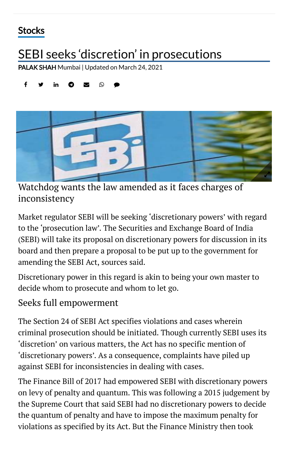## **[Stocks](https://www.thehindubusinessline.com/markets/stock-markets/)**

# SEBI seeks 'discretion' in prosecutions

[PALAK](https://www.thehindubusinessline.com/profile/author/PALAK-SHAH-16223/) SHAH Mumbai | Updated on March 24, 2021

#### $f$   $\bullet$  in  $\bullet$   $\bullet$   $\circ$   $\bullet$



Watchdog wants the law amended as it faces charges of inconsistency

Market regulator SEBI will be seeking 'discretionary powers' with regard to the 'prosecution law'. The Securities and Exchange Board of India (SEBI) will take its proposal on discretionary powers for discussion in its board and then prepare a proposal to be put up to the government for amending the SEBI Act, sources said.

Discretionary power in this regard is akin to being your own master to decide whom to prosecute and whom to let go.

### Seeks full empowerment

The Section 24 of SEBI Act specifies violations and cases wherein criminal prosecution should be initiated. Though currently SEBI uses its 'discretion' on various matters, the Act has no specific mention of 'discretionary powers'. As a consequence, complaints have piled up against SEBI for inconsistencies in dealing with cases.

The Finance Bill of 2017 had empowered SEBI with discretionary powers on levy of penalty and quantum. This was following a 2015 judgement by the Supreme Court that said SEBI had no discretionary powers to decide the quantum of penalty and have to impose the maximum penalty for violations as specified by its Act. But the Finance Ministry then took